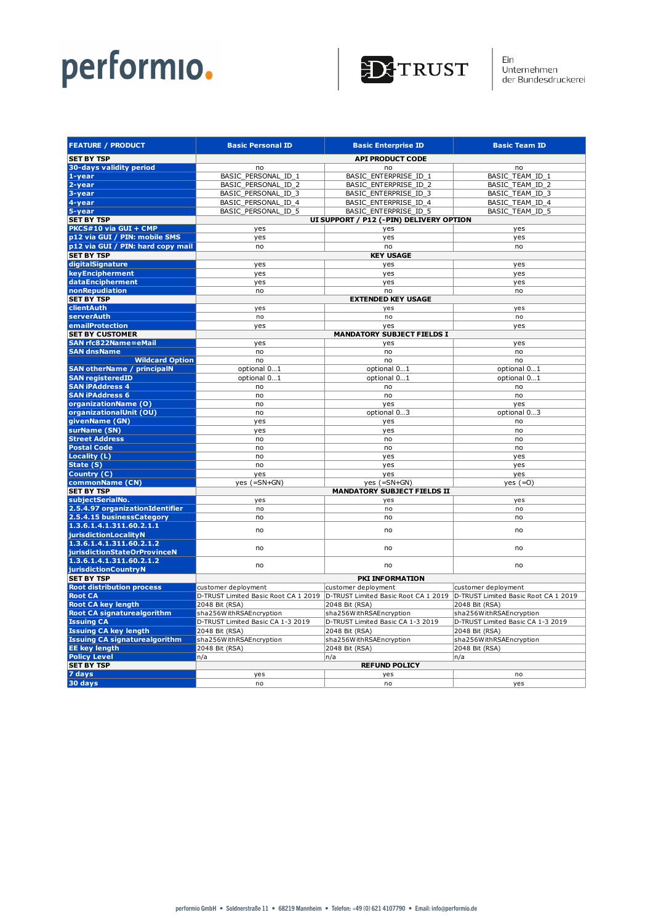

| <b>API PRODUCT CODE</b><br><b>30-days validity period</b><br>no<br>no<br>no<br>BASIC_PERSONAL_ID_1<br>BASIC_ENTERPRISE_ID_1<br>BASIC TEAM ID 1<br>BASIC PERSONAL ID 2<br>BASIC ENTERPRISE ID 2<br><b>BASIC TEAM ID 2</b><br>3-year<br>BASIC_PERSONAL_ID_3<br>BASIC_ENTERPRISE_ID_3<br>BASIC_TEAM_ID_3<br>4-year<br>BASIC PERSONAL ID 4<br>BASIC ENTERPRISE ID 4<br>BASIC_TEAM_ID_4<br>5-year<br>BASIC PERSONAL ID 5<br><b>BASIC ENTERPRISE ID 5</b><br>BASIC TEAM ID 5<br>UI SUPPORT / P12 (-PIN) DELIVERY OPTION<br>yes<br>yes<br>yes<br>p12 via GUI / PIN: mobile SMS<br>yes<br>yes<br>yes<br>p12 via GUI / PIN: hard copy mail<br>no<br>no<br>no<br><b>KEY USAGE</b><br><b>SET BY TSP</b><br>digitalSignature<br>yes<br>yes<br>yes<br>keyEncipherment<br>yes<br>yes<br>yes<br>dataEncipherment<br>yes<br>yes<br>yes<br>nonRepudiation<br>no<br>no<br>no<br><b>SET BY TSP</b><br><b>EXTENDED KEY USAGE</b><br>clientAuth<br>yes<br>yes<br>yes<br>serverAuth<br>no<br>no<br>no<br>emailProtection<br>yes<br>yes<br>yes<br><b>SET BY CUSTOMER</b><br><b>MANDATORY SUBJECT FIELDS I</b><br>SAN rfc822Name=eMail<br>yes<br>yes<br>yes<br><b>SAN dnsName</b><br>no<br>no<br>no<br><b>Wildcard Option</b><br>no<br>no<br>no<br><b>SAN otherName / principalN</b><br>optional 01<br>optional 01<br>optional 01<br><b>SAN registeredID</b><br>optional 01<br>optional 01<br>optional 01<br><b>SAN iPAddress 4</b><br>no<br>no<br>no<br><b>SAN iPAddress 6</b><br>no<br>no<br>no<br>organizationName (O)<br>no<br>yes<br>yes<br>organizationalUnit (OU)<br>optional 03<br>no<br>optional 03<br>givenName (GN)<br>yes<br>yes<br>no<br>surName (SN)<br>yes<br>yes<br>no<br><b>Street Address</b><br>no<br>no<br>no<br><b>Postal Code</b><br>no<br>no<br>no<br><b>Locality (L)</b><br>no<br>yes<br>yes<br>State (S)<br>no<br>yes<br>yes<br>Country (C)<br>yes<br>yes<br>yes<br>commonName (CN)<br>$yes (=SN+GN)$<br>$yes (=SN+GN)$<br>$yes (=0)$<br><b>MANDATORY SUBJECT FIELDS II</b><br><b>SET BY TSP</b><br>subjectSerialNo.<br>yes<br>yes<br>yes<br>2.5.4.97 organizationIdentifier<br>no<br>no<br>no<br>2.5.4.15 businessCategory<br>no<br>no<br>no<br>no<br>no<br>no<br>no<br>no<br>no<br>no<br>no<br>no<br>jurisdictionCountryN<br>PKI INFORMATION<br>customer deployment<br>customer deployment<br>customer deployment<br><b>Root CA</b><br>D-TRUST Limited Basic Root CA 1 2019<br>D-TRUST Limited Basic Root CA 1 2019<br>D-TRUST Limited Basic Root CA 1 2019<br><b>Root CA key length</b><br>2048 Bit (RSA)<br>2048 Bit (RSA)<br>2048 Bit (RSA)<br><b>Root CA signaturealgorithm</b><br>sha256WithRSAEncryption<br>sha256WithRSAEncryption<br>sha256WithRSAEncryption<br>D-TRUST Limited Basic CA 1-3 2019<br>D-TRUST Limited Basic CA 1-3 2019<br>D-TRUST Limited Basic CA 1-3 2019<br><b>Issuing CA key length</b><br>2048 Bit (RSA)<br>2048 Bit (RSA)<br>2048 Bit (RSA)<br>sha256WithRSAEncryption<br>sha256WithRSAEncryption<br>sha256WithRSAEncryption<br>2048 Bit (RSA)<br>2048 Bit (RSA)<br>2048 Bit (RSA)<br>n/a<br> n/a<br> n/a<br><b>REFUND POLICY</b><br>yes<br>no<br>yes<br>no<br>no<br>yes | <b>FEATURE / PRODUCT</b>             | <b>Basic Personal ID</b> | <b>Basic Enterprise ID</b> | <b>Basic Team ID</b> |  |
|-----------------------------------------------------------------------------------------------------------------------------------------------------------------------------------------------------------------------------------------------------------------------------------------------------------------------------------------------------------------------------------------------------------------------------------------------------------------------------------------------------------------------------------------------------------------------------------------------------------------------------------------------------------------------------------------------------------------------------------------------------------------------------------------------------------------------------------------------------------------------------------------------------------------------------------------------------------------------------------------------------------------------------------------------------------------------------------------------------------------------------------------------------------------------------------------------------------------------------------------------------------------------------------------------------------------------------------------------------------------------------------------------------------------------------------------------------------------------------------------------------------------------------------------------------------------------------------------------------------------------------------------------------------------------------------------------------------------------------------------------------------------------------------------------------------------------------------------------------------------------------------------------------------------------------------------------------------------------------------------------------------------------------------------------------------------------------------------------------------------------------------------------------------------------------------------------------------------------------------------------------------------------------------------------------------------------------------------------------------------------------------------------------------------------------------------------------------------------------------------------------------------------------------------------------------------------------------------------------------------------------------------------------------------------------------------------------------------------------------------------------------------------------------------------------------------------------------------------------------------------------------------------------------------------------------------------------------------------------------------------------------------------------------------------------------------------------------------------------------|--------------------------------------|--------------------------|----------------------------|----------------------|--|
|                                                                                                                                                                                                                                                                                                                                                                                                                                                                                                                                                                                                                                                                                                                                                                                                                                                                                                                                                                                                                                                                                                                                                                                                                                                                                                                                                                                                                                                                                                                                                                                                                                                                                                                                                                                                                                                                                                                                                                                                                                                                                                                                                                                                                                                                                                                                                                                                                                                                                                                                                                                                                                                                                                                                                                                                                                                                                                                                                                                                                                                                                                           | <b>SET BY TSP</b>                    |                          |                            |                      |  |
|                                                                                                                                                                                                                                                                                                                                                                                                                                                                                                                                                                                                                                                                                                                                                                                                                                                                                                                                                                                                                                                                                                                                                                                                                                                                                                                                                                                                                                                                                                                                                                                                                                                                                                                                                                                                                                                                                                                                                                                                                                                                                                                                                                                                                                                                                                                                                                                                                                                                                                                                                                                                                                                                                                                                                                                                                                                                                                                                                                                                                                                                                                           |                                      |                          |                            |                      |  |
|                                                                                                                                                                                                                                                                                                                                                                                                                                                                                                                                                                                                                                                                                                                                                                                                                                                                                                                                                                                                                                                                                                                                                                                                                                                                                                                                                                                                                                                                                                                                                                                                                                                                                                                                                                                                                                                                                                                                                                                                                                                                                                                                                                                                                                                                                                                                                                                                                                                                                                                                                                                                                                                                                                                                                                                                                                                                                                                                                                                                                                                                                                           | $1 - year$                           |                          |                            |                      |  |
|                                                                                                                                                                                                                                                                                                                                                                                                                                                                                                                                                                                                                                                                                                                                                                                                                                                                                                                                                                                                                                                                                                                                                                                                                                                                                                                                                                                                                                                                                                                                                                                                                                                                                                                                                                                                                                                                                                                                                                                                                                                                                                                                                                                                                                                                                                                                                                                                                                                                                                                                                                                                                                                                                                                                                                                                                                                                                                                                                                                                                                                                                                           | 2-year                               |                          |                            |                      |  |
|                                                                                                                                                                                                                                                                                                                                                                                                                                                                                                                                                                                                                                                                                                                                                                                                                                                                                                                                                                                                                                                                                                                                                                                                                                                                                                                                                                                                                                                                                                                                                                                                                                                                                                                                                                                                                                                                                                                                                                                                                                                                                                                                                                                                                                                                                                                                                                                                                                                                                                                                                                                                                                                                                                                                                                                                                                                                                                                                                                                                                                                                                                           |                                      |                          |                            |                      |  |
|                                                                                                                                                                                                                                                                                                                                                                                                                                                                                                                                                                                                                                                                                                                                                                                                                                                                                                                                                                                                                                                                                                                                                                                                                                                                                                                                                                                                                                                                                                                                                                                                                                                                                                                                                                                                                                                                                                                                                                                                                                                                                                                                                                                                                                                                                                                                                                                                                                                                                                                                                                                                                                                                                                                                                                                                                                                                                                                                                                                                                                                                                                           |                                      |                          |                            |                      |  |
|                                                                                                                                                                                                                                                                                                                                                                                                                                                                                                                                                                                                                                                                                                                                                                                                                                                                                                                                                                                                                                                                                                                                                                                                                                                                                                                                                                                                                                                                                                                                                                                                                                                                                                                                                                                                                                                                                                                                                                                                                                                                                                                                                                                                                                                                                                                                                                                                                                                                                                                                                                                                                                                                                                                                                                                                                                                                                                                                                                                                                                                                                                           |                                      |                          |                            |                      |  |
|                                                                                                                                                                                                                                                                                                                                                                                                                                                                                                                                                                                                                                                                                                                                                                                                                                                                                                                                                                                                                                                                                                                                                                                                                                                                                                                                                                                                                                                                                                                                                                                                                                                                                                                                                                                                                                                                                                                                                                                                                                                                                                                                                                                                                                                                                                                                                                                                                                                                                                                                                                                                                                                                                                                                                                                                                                                                                                                                                                                                                                                                                                           | <b>SET BY TSP</b>                    |                          |                            |                      |  |
|                                                                                                                                                                                                                                                                                                                                                                                                                                                                                                                                                                                                                                                                                                                                                                                                                                                                                                                                                                                                                                                                                                                                                                                                                                                                                                                                                                                                                                                                                                                                                                                                                                                                                                                                                                                                                                                                                                                                                                                                                                                                                                                                                                                                                                                                                                                                                                                                                                                                                                                                                                                                                                                                                                                                                                                                                                                                                                                                                                                                                                                                                                           | PKCS#10 via GUI + CMP                |                          |                            |                      |  |
|                                                                                                                                                                                                                                                                                                                                                                                                                                                                                                                                                                                                                                                                                                                                                                                                                                                                                                                                                                                                                                                                                                                                                                                                                                                                                                                                                                                                                                                                                                                                                                                                                                                                                                                                                                                                                                                                                                                                                                                                                                                                                                                                                                                                                                                                                                                                                                                                                                                                                                                                                                                                                                                                                                                                                                                                                                                                                                                                                                                                                                                                                                           |                                      |                          |                            |                      |  |
|                                                                                                                                                                                                                                                                                                                                                                                                                                                                                                                                                                                                                                                                                                                                                                                                                                                                                                                                                                                                                                                                                                                                                                                                                                                                                                                                                                                                                                                                                                                                                                                                                                                                                                                                                                                                                                                                                                                                                                                                                                                                                                                                                                                                                                                                                                                                                                                                                                                                                                                                                                                                                                                                                                                                                                                                                                                                                                                                                                                                                                                                                                           |                                      |                          |                            |                      |  |
|                                                                                                                                                                                                                                                                                                                                                                                                                                                                                                                                                                                                                                                                                                                                                                                                                                                                                                                                                                                                                                                                                                                                                                                                                                                                                                                                                                                                                                                                                                                                                                                                                                                                                                                                                                                                                                                                                                                                                                                                                                                                                                                                                                                                                                                                                                                                                                                                                                                                                                                                                                                                                                                                                                                                                                                                                                                                                                                                                                                                                                                                                                           |                                      |                          |                            |                      |  |
|                                                                                                                                                                                                                                                                                                                                                                                                                                                                                                                                                                                                                                                                                                                                                                                                                                                                                                                                                                                                                                                                                                                                                                                                                                                                                                                                                                                                                                                                                                                                                                                                                                                                                                                                                                                                                                                                                                                                                                                                                                                                                                                                                                                                                                                                                                                                                                                                                                                                                                                                                                                                                                                                                                                                                                                                                                                                                                                                                                                                                                                                                                           |                                      |                          |                            |                      |  |
|                                                                                                                                                                                                                                                                                                                                                                                                                                                                                                                                                                                                                                                                                                                                                                                                                                                                                                                                                                                                                                                                                                                                                                                                                                                                                                                                                                                                                                                                                                                                                                                                                                                                                                                                                                                                                                                                                                                                                                                                                                                                                                                                                                                                                                                                                                                                                                                                                                                                                                                                                                                                                                                                                                                                                                                                                                                                                                                                                                                                                                                                                                           |                                      |                          |                            |                      |  |
|                                                                                                                                                                                                                                                                                                                                                                                                                                                                                                                                                                                                                                                                                                                                                                                                                                                                                                                                                                                                                                                                                                                                                                                                                                                                                                                                                                                                                                                                                                                                                                                                                                                                                                                                                                                                                                                                                                                                                                                                                                                                                                                                                                                                                                                                                                                                                                                                                                                                                                                                                                                                                                                                                                                                                                                                                                                                                                                                                                                                                                                                                                           |                                      |                          |                            |                      |  |
|                                                                                                                                                                                                                                                                                                                                                                                                                                                                                                                                                                                                                                                                                                                                                                                                                                                                                                                                                                                                                                                                                                                                                                                                                                                                                                                                                                                                                                                                                                                                                                                                                                                                                                                                                                                                                                                                                                                                                                                                                                                                                                                                                                                                                                                                                                                                                                                                                                                                                                                                                                                                                                                                                                                                                                                                                                                                                                                                                                                                                                                                                                           |                                      |                          |                            |                      |  |
|                                                                                                                                                                                                                                                                                                                                                                                                                                                                                                                                                                                                                                                                                                                                                                                                                                                                                                                                                                                                                                                                                                                                                                                                                                                                                                                                                                                                                                                                                                                                                                                                                                                                                                                                                                                                                                                                                                                                                                                                                                                                                                                                                                                                                                                                                                                                                                                                                                                                                                                                                                                                                                                                                                                                                                                                                                                                                                                                                                                                                                                                                                           |                                      |                          |                            |                      |  |
|                                                                                                                                                                                                                                                                                                                                                                                                                                                                                                                                                                                                                                                                                                                                                                                                                                                                                                                                                                                                                                                                                                                                                                                                                                                                                                                                                                                                                                                                                                                                                                                                                                                                                                                                                                                                                                                                                                                                                                                                                                                                                                                                                                                                                                                                                                                                                                                                                                                                                                                                                                                                                                                                                                                                                                                                                                                                                                                                                                                                                                                                                                           |                                      |                          |                            |                      |  |
|                                                                                                                                                                                                                                                                                                                                                                                                                                                                                                                                                                                                                                                                                                                                                                                                                                                                                                                                                                                                                                                                                                                                                                                                                                                                                                                                                                                                                                                                                                                                                                                                                                                                                                                                                                                                                                                                                                                                                                                                                                                                                                                                                                                                                                                                                                                                                                                                                                                                                                                                                                                                                                                                                                                                                                                                                                                                                                                                                                                                                                                                                                           |                                      |                          |                            |                      |  |
|                                                                                                                                                                                                                                                                                                                                                                                                                                                                                                                                                                                                                                                                                                                                                                                                                                                                                                                                                                                                                                                                                                                                                                                                                                                                                                                                                                                                                                                                                                                                                                                                                                                                                                                                                                                                                                                                                                                                                                                                                                                                                                                                                                                                                                                                                                                                                                                                                                                                                                                                                                                                                                                                                                                                                                                                                                                                                                                                                                                                                                                                                                           |                                      |                          |                            |                      |  |
|                                                                                                                                                                                                                                                                                                                                                                                                                                                                                                                                                                                                                                                                                                                                                                                                                                                                                                                                                                                                                                                                                                                                                                                                                                                                                                                                                                                                                                                                                                                                                                                                                                                                                                                                                                                                                                                                                                                                                                                                                                                                                                                                                                                                                                                                                                                                                                                                                                                                                                                                                                                                                                                                                                                                                                                                                                                                                                                                                                                                                                                                                                           |                                      |                          |                            |                      |  |
|                                                                                                                                                                                                                                                                                                                                                                                                                                                                                                                                                                                                                                                                                                                                                                                                                                                                                                                                                                                                                                                                                                                                                                                                                                                                                                                                                                                                                                                                                                                                                                                                                                                                                                                                                                                                                                                                                                                                                                                                                                                                                                                                                                                                                                                                                                                                                                                                                                                                                                                                                                                                                                                                                                                                                                                                                                                                                                                                                                                                                                                                                                           |                                      |                          |                            |                      |  |
|                                                                                                                                                                                                                                                                                                                                                                                                                                                                                                                                                                                                                                                                                                                                                                                                                                                                                                                                                                                                                                                                                                                                                                                                                                                                                                                                                                                                                                                                                                                                                                                                                                                                                                                                                                                                                                                                                                                                                                                                                                                                                                                                                                                                                                                                                                                                                                                                                                                                                                                                                                                                                                                                                                                                                                                                                                                                                                                                                                                                                                                                                                           |                                      |                          |                            |                      |  |
|                                                                                                                                                                                                                                                                                                                                                                                                                                                                                                                                                                                                                                                                                                                                                                                                                                                                                                                                                                                                                                                                                                                                                                                                                                                                                                                                                                                                                                                                                                                                                                                                                                                                                                                                                                                                                                                                                                                                                                                                                                                                                                                                                                                                                                                                                                                                                                                                                                                                                                                                                                                                                                                                                                                                                                                                                                                                                                                                                                                                                                                                                                           |                                      |                          |                            |                      |  |
|                                                                                                                                                                                                                                                                                                                                                                                                                                                                                                                                                                                                                                                                                                                                                                                                                                                                                                                                                                                                                                                                                                                                                                                                                                                                                                                                                                                                                                                                                                                                                                                                                                                                                                                                                                                                                                                                                                                                                                                                                                                                                                                                                                                                                                                                                                                                                                                                                                                                                                                                                                                                                                                                                                                                                                                                                                                                                                                                                                                                                                                                                                           |                                      |                          |                            |                      |  |
|                                                                                                                                                                                                                                                                                                                                                                                                                                                                                                                                                                                                                                                                                                                                                                                                                                                                                                                                                                                                                                                                                                                                                                                                                                                                                                                                                                                                                                                                                                                                                                                                                                                                                                                                                                                                                                                                                                                                                                                                                                                                                                                                                                                                                                                                                                                                                                                                                                                                                                                                                                                                                                                                                                                                                                                                                                                                                                                                                                                                                                                                                                           |                                      |                          |                            |                      |  |
|                                                                                                                                                                                                                                                                                                                                                                                                                                                                                                                                                                                                                                                                                                                                                                                                                                                                                                                                                                                                                                                                                                                                                                                                                                                                                                                                                                                                                                                                                                                                                                                                                                                                                                                                                                                                                                                                                                                                                                                                                                                                                                                                                                                                                                                                                                                                                                                                                                                                                                                                                                                                                                                                                                                                                                                                                                                                                                                                                                                                                                                                                                           |                                      |                          |                            |                      |  |
|                                                                                                                                                                                                                                                                                                                                                                                                                                                                                                                                                                                                                                                                                                                                                                                                                                                                                                                                                                                                                                                                                                                                                                                                                                                                                                                                                                                                                                                                                                                                                                                                                                                                                                                                                                                                                                                                                                                                                                                                                                                                                                                                                                                                                                                                                                                                                                                                                                                                                                                                                                                                                                                                                                                                                                                                                                                                                                                                                                                                                                                                                                           |                                      |                          |                            |                      |  |
|                                                                                                                                                                                                                                                                                                                                                                                                                                                                                                                                                                                                                                                                                                                                                                                                                                                                                                                                                                                                                                                                                                                                                                                                                                                                                                                                                                                                                                                                                                                                                                                                                                                                                                                                                                                                                                                                                                                                                                                                                                                                                                                                                                                                                                                                                                                                                                                                                                                                                                                                                                                                                                                                                                                                                                                                                                                                                                                                                                                                                                                                                                           |                                      |                          |                            |                      |  |
|                                                                                                                                                                                                                                                                                                                                                                                                                                                                                                                                                                                                                                                                                                                                                                                                                                                                                                                                                                                                                                                                                                                                                                                                                                                                                                                                                                                                                                                                                                                                                                                                                                                                                                                                                                                                                                                                                                                                                                                                                                                                                                                                                                                                                                                                                                                                                                                                                                                                                                                                                                                                                                                                                                                                                                                                                                                                                                                                                                                                                                                                                                           |                                      |                          |                            |                      |  |
|                                                                                                                                                                                                                                                                                                                                                                                                                                                                                                                                                                                                                                                                                                                                                                                                                                                                                                                                                                                                                                                                                                                                                                                                                                                                                                                                                                                                                                                                                                                                                                                                                                                                                                                                                                                                                                                                                                                                                                                                                                                                                                                                                                                                                                                                                                                                                                                                                                                                                                                                                                                                                                                                                                                                                                                                                                                                                                                                                                                                                                                                                                           |                                      |                          |                            |                      |  |
|                                                                                                                                                                                                                                                                                                                                                                                                                                                                                                                                                                                                                                                                                                                                                                                                                                                                                                                                                                                                                                                                                                                                                                                                                                                                                                                                                                                                                                                                                                                                                                                                                                                                                                                                                                                                                                                                                                                                                                                                                                                                                                                                                                                                                                                                                                                                                                                                                                                                                                                                                                                                                                                                                                                                                                                                                                                                                                                                                                                                                                                                                                           |                                      |                          |                            |                      |  |
|                                                                                                                                                                                                                                                                                                                                                                                                                                                                                                                                                                                                                                                                                                                                                                                                                                                                                                                                                                                                                                                                                                                                                                                                                                                                                                                                                                                                                                                                                                                                                                                                                                                                                                                                                                                                                                                                                                                                                                                                                                                                                                                                                                                                                                                                                                                                                                                                                                                                                                                                                                                                                                                                                                                                                                                                                                                                                                                                                                                                                                                                                                           |                                      |                          |                            |                      |  |
|                                                                                                                                                                                                                                                                                                                                                                                                                                                                                                                                                                                                                                                                                                                                                                                                                                                                                                                                                                                                                                                                                                                                                                                                                                                                                                                                                                                                                                                                                                                                                                                                                                                                                                                                                                                                                                                                                                                                                                                                                                                                                                                                                                                                                                                                                                                                                                                                                                                                                                                                                                                                                                                                                                                                                                                                                                                                                                                                                                                                                                                                                                           |                                      |                          |                            |                      |  |
|                                                                                                                                                                                                                                                                                                                                                                                                                                                                                                                                                                                                                                                                                                                                                                                                                                                                                                                                                                                                                                                                                                                                                                                                                                                                                                                                                                                                                                                                                                                                                                                                                                                                                                                                                                                                                                                                                                                                                                                                                                                                                                                                                                                                                                                                                                                                                                                                                                                                                                                                                                                                                                                                                                                                                                                                                                                                                                                                                                                                                                                                                                           |                                      |                          |                            |                      |  |
|                                                                                                                                                                                                                                                                                                                                                                                                                                                                                                                                                                                                                                                                                                                                                                                                                                                                                                                                                                                                                                                                                                                                                                                                                                                                                                                                                                                                                                                                                                                                                                                                                                                                                                                                                                                                                                                                                                                                                                                                                                                                                                                                                                                                                                                                                                                                                                                                                                                                                                                                                                                                                                                                                                                                                                                                                                                                                                                                                                                                                                                                                                           |                                      |                          |                            |                      |  |
|                                                                                                                                                                                                                                                                                                                                                                                                                                                                                                                                                                                                                                                                                                                                                                                                                                                                                                                                                                                                                                                                                                                                                                                                                                                                                                                                                                                                                                                                                                                                                                                                                                                                                                                                                                                                                                                                                                                                                                                                                                                                                                                                                                                                                                                                                                                                                                                                                                                                                                                                                                                                                                                                                                                                                                                                                                                                                                                                                                                                                                                                                                           |                                      |                          |                            |                      |  |
|                                                                                                                                                                                                                                                                                                                                                                                                                                                                                                                                                                                                                                                                                                                                                                                                                                                                                                                                                                                                                                                                                                                                                                                                                                                                                                                                                                                                                                                                                                                                                                                                                                                                                                                                                                                                                                                                                                                                                                                                                                                                                                                                                                                                                                                                                                                                                                                                                                                                                                                                                                                                                                                                                                                                                                                                                                                                                                                                                                                                                                                                                                           |                                      |                          |                            |                      |  |
|                                                                                                                                                                                                                                                                                                                                                                                                                                                                                                                                                                                                                                                                                                                                                                                                                                                                                                                                                                                                                                                                                                                                                                                                                                                                                                                                                                                                                                                                                                                                                                                                                                                                                                                                                                                                                                                                                                                                                                                                                                                                                                                                                                                                                                                                                                                                                                                                                                                                                                                                                                                                                                                                                                                                                                                                                                                                                                                                                                                                                                                                                                           |                                      |                          |                            |                      |  |
|                                                                                                                                                                                                                                                                                                                                                                                                                                                                                                                                                                                                                                                                                                                                                                                                                                                                                                                                                                                                                                                                                                                                                                                                                                                                                                                                                                                                                                                                                                                                                                                                                                                                                                                                                                                                                                                                                                                                                                                                                                                                                                                                                                                                                                                                                                                                                                                                                                                                                                                                                                                                                                                                                                                                                                                                                                                                                                                                                                                                                                                                                                           |                                      |                          |                            |                      |  |
|                                                                                                                                                                                                                                                                                                                                                                                                                                                                                                                                                                                                                                                                                                                                                                                                                                                                                                                                                                                                                                                                                                                                                                                                                                                                                                                                                                                                                                                                                                                                                                                                                                                                                                                                                                                                                                                                                                                                                                                                                                                                                                                                                                                                                                                                                                                                                                                                                                                                                                                                                                                                                                                                                                                                                                                                                                                                                                                                                                                                                                                                                                           |                                      |                          |                            |                      |  |
|                                                                                                                                                                                                                                                                                                                                                                                                                                                                                                                                                                                                                                                                                                                                                                                                                                                                                                                                                                                                                                                                                                                                                                                                                                                                                                                                                                                                                                                                                                                                                                                                                                                                                                                                                                                                                                                                                                                                                                                                                                                                                                                                                                                                                                                                                                                                                                                                                                                                                                                                                                                                                                                                                                                                                                                                                                                                                                                                                                                                                                                                                                           |                                      |                          |                            |                      |  |
|                                                                                                                                                                                                                                                                                                                                                                                                                                                                                                                                                                                                                                                                                                                                                                                                                                                                                                                                                                                                                                                                                                                                                                                                                                                                                                                                                                                                                                                                                                                                                                                                                                                                                                                                                                                                                                                                                                                                                                                                                                                                                                                                                                                                                                                                                                                                                                                                                                                                                                                                                                                                                                                                                                                                                                                                                                                                                                                                                                                                                                                                                                           | 1.3.6.1.4.1.311.60.2.1.1             |                          |                            |                      |  |
|                                                                                                                                                                                                                                                                                                                                                                                                                                                                                                                                                                                                                                                                                                                                                                                                                                                                                                                                                                                                                                                                                                                                                                                                                                                                                                                                                                                                                                                                                                                                                                                                                                                                                                                                                                                                                                                                                                                                                                                                                                                                                                                                                                                                                                                                                                                                                                                                                                                                                                                                                                                                                                                                                                                                                                                                                                                                                                                                                                                                                                                                                                           | jurisdictionLocalityN                |                          |                            |                      |  |
|                                                                                                                                                                                                                                                                                                                                                                                                                                                                                                                                                                                                                                                                                                                                                                                                                                                                                                                                                                                                                                                                                                                                                                                                                                                                                                                                                                                                                                                                                                                                                                                                                                                                                                                                                                                                                                                                                                                                                                                                                                                                                                                                                                                                                                                                                                                                                                                                                                                                                                                                                                                                                                                                                                                                                                                                                                                                                                                                                                                                                                                                                                           | 1.3.6.1.4.1.311.60.2.1.2             |                          |                            |                      |  |
|                                                                                                                                                                                                                                                                                                                                                                                                                                                                                                                                                                                                                                                                                                                                                                                                                                                                                                                                                                                                                                                                                                                                                                                                                                                                                                                                                                                                                                                                                                                                                                                                                                                                                                                                                                                                                                                                                                                                                                                                                                                                                                                                                                                                                                                                                                                                                                                                                                                                                                                                                                                                                                                                                                                                                                                                                                                                                                                                                                                                                                                                                                           | jurisdictionStateOrProvinceN         |                          |                            |                      |  |
|                                                                                                                                                                                                                                                                                                                                                                                                                                                                                                                                                                                                                                                                                                                                                                                                                                                                                                                                                                                                                                                                                                                                                                                                                                                                                                                                                                                                                                                                                                                                                                                                                                                                                                                                                                                                                                                                                                                                                                                                                                                                                                                                                                                                                                                                                                                                                                                                                                                                                                                                                                                                                                                                                                                                                                                                                                                                                                                                                                                                                                                                                                           | 1.3.6.1.4.1.311.60.2.1.2             |                          |                            |                      |  |
|                                                                                                                                                                                                                                                                                                                                                                                                                                                                                                                                                                                                                                                                                                                                                                                                                                                                                                                                                                                                                                                                                                                                                                                                                                                                                                                                                                                                                                                                                                                                                                                                                                                                                                                                                                                                                                                                                                                                                                                                                                                                                                                                                                                                                                                                                                                                                                                                                                                                                                                                                                                                                                                                                                                                                                                                                                                                                                                                                                                                                                                                                                           |                                      |                          |                            |                      |  |
|                                                                                                                                                                                                                                                                                                                                                                                                                                                                                                                                                                                                                                                                                                                                                                                                                                                                                                                                                                                                                                                                                                                                                                                                                                                                                                                                                                                                                                                                                                                                                                                                                                                                                                                                                                                                                                                                                                                                                                                                                                                                                                                                                                                                                                                                                                                                                                                                                                                                                                                                                                                                                                                                                                                                                                                                                                                                                                                                                                                                                                                                                                           | <b>SET BY TSP</b>                    |                          |                            |                      |  |
|                                                                                                                                                                                                                                                                                                                                                                                                                                                                                                                                                                                                                                                                                                                                                                                                                                                                                                                                                                                                                                                                                                                                                                                                                                                                                                                                                                                                                                                                                                                                                                                                                                                                                                                                                                                                                                                                                                                                                                                                                                                                                                                                                                                                                                                                                                                                                                                                                                                                                                                                                                                                                                                                                                                                                                                                                                                                                                                                                                                                                                                                                                           | <b>Root distribution process</b>     |                          |                            |                      |  |
|                                                                                                                                                                                                                                                                                                                                                                                                                                                                                                                                                                                                                                                                                                                                                                                                                                                                                                                                                                                                                                                                                                                                                                                                                                                                                                                                                                                                                                                                                                                                                                                                                                                                                                                                                                                                                                                                                                                                                                                                                                                                                                                                                                                                                                                                                                                                                                                                                                                                                                                                                                                                                                                                                                                                                                                                                                                                                                                                                                                                                                                                                                           |                                      |                          |                            |                      |  |
|                                                                                                                                                                                                                                                                                                                                                                                                                                                                                                                                                                                                                                                                                                                                                                                                                                                                                                                                                                                                                                                                                                                                                                                                                                                                                                                                                                                                                                                                                                                                                                                                                                                                                                                                                                                                                                                                                                                                                                                                                                                                                                                                                                                                                                                                                                                                                                                                                                                                                                                                                                                                                                                                                                                                                                                                                                                                                                                                                                                                                                                                                                           |                                      |                          |                            |                      |  |
|                                                                                                                                                                                                                                                                                                                                                                                                                                                                                                                                                                                                                                                                                                                                                                                                                                                                                                                                                                                                                                                                                                                                                                                                                                                                                                                                                                                                                                                                                                                                                                                                                                                                                                                                                                                                                                                                                                                                                                                                                                                                                                                                                                                                                                                                                                                                                                                                                                                                                                                                                                                                                                                                                                                                                                                                                                                                                                                                                                                                                                                                                                           |                                      |                          |                            |                      |  |
|                                                                                                                                                                                                                                                                                                                                                                                                                                                                                                                                                                                                                                                                                                                                                                                                                                                                                                                                                                                                                                                                                                                                                                                                                                                                                                                                                                                                                                                                                                                                                                                                                                                                                                                                                                                                                                                                                                                                                                                                                                                                                                                                                                                                                                                                                                                                                                                                                                                                                                                                                                                                                                                                                                                                                                                                                                                                                                                                                                                                                                                                                                           | <b>Issuing CA</b>                    |                          |                            |                      |  |
|                                                                                                                                                                                                                                                                                                                                                                                                                                                                                                                                                                                                                                                                                                                                                                                                                                                                                                                                                                                                                                                                                                                                                                                                                                                                                                                                                                                                                                                                                                                                                                                                                                                                                                                                                                                                                                                                                                                                                                                                                                                                                                                                                                                                                                                                                                                                                                                                                                                                                                                                                                                                                                                                                                                                                                                                                                                                                                                                                                                                                                                                                                           |                                      |                          |                            |                      |  |
|                                                                                                                                                                                                                                                                                                                                                                                                                                                                                                                                                                                                                                                                                                                                                                                                                                                                                                                                                                                                                                                                                                                                                                                                                                                                                                                                                                                                                                                                                                                                                                                                                                                                                                                                                                                                                                                                                                                                                                                                                                                                                                                                                                                                                                                                                                                                                                                                                                                                                                                                                                                                                                                                                                                                                                                                                                                                                                                                                                                                                                                                                                           | <b>Issuing CA signaturealgorithm</b> |                          |                            |                      |  |
|                                                                                                                                                                                                                                                                                                                                                                                                                                                                                                                                                                                                                                                                                                                                                                                                                                                                                                                                                                                                                                                                                                                                                                                                                                                                                                                                                                                                                                                                                                                                                                                                                                                                                                                                                                                                                                                                                                                                                                                                                                                                                                                                                                                                                                                                                                                                                                                                                                                                                                                                                                                                                                                                                                                                                                                                                                                                                                                                                                                                                                                                                                           | <b>EE key length</b>                 |                          |                            |                      |  |
|                                                                                                                                                                                                                                                                                                                                                                                                                                                                                                                                                                                                                                                                                                                                                                                                                                                                                                                                                                                                                                                                                                                                                                                                                                                                                                                                                                                                                                                                                                                                                                                                                                                                                                                                                                                                                                                                                                                                                                                                                                                                                                                                                                                                                                                                                                                                                                                                                                                                                                                                                                                                                                                                                                                                                                                                                                                                                                                                                                                                                                                                                                           | <b>Policy Level</b>                  |                          |                            |                      |  |
|                                                                                                                                                                                                                                                                                                                                                                                                                                                                                                                                                                                                                                                                                                                                                                                                                                                                                                                                                                                                                                                                                                                                                                                                                                                                                                                                                                                                                                                                                                                                                                                                                                                                                                                                                                                                                                                                                                                                                                                                                                                                                                                                                                                                                                                                                                                                                                                                                                                                                                                                                                                                                                                                                                                                                                                                                                                                                                                                                                                                                                                                                                           | <b>SET BY TSP</b>                    |                          |                            |                      |  |
|                                                                                                                                                                                                                                                                                                                                                                                                                                                                                                                                                                                                                                                                                                                                                                                                                                                                                                                                                                                                                                                                                                                                                                                                                                                                                                                                                                                                                                                                                                                                                                                                                                                                                                                                                                                                                                                                                                                                                                                                                                                                                                                                                                                                                                                                                                                                                                                                                                                                                                                                                                                                                                                                                                                                                                                                                                                                                                                                                                                                                                                                                                           | 7 days                               |                          |                            |                      |  |
|                                                                                                                                                                                                                                                                                                                                                                                                                                                                                                                                                                                                                                                                                                                                                                                                                                                                                                                                                                                                                                                                                                                                                                                                                                                                                                                                                                                                                                                                                                                                                                                                                                                                                                                                                                                                                                                                                                                                                                                                                                                                                                                                                                                                                                                                                                                                                                                                                                                                                                                                                                                                                                                                                                                                                                                                                                                                                                                                                                                                                                                                                                           | 30 days                              |                          |                            |                      |  |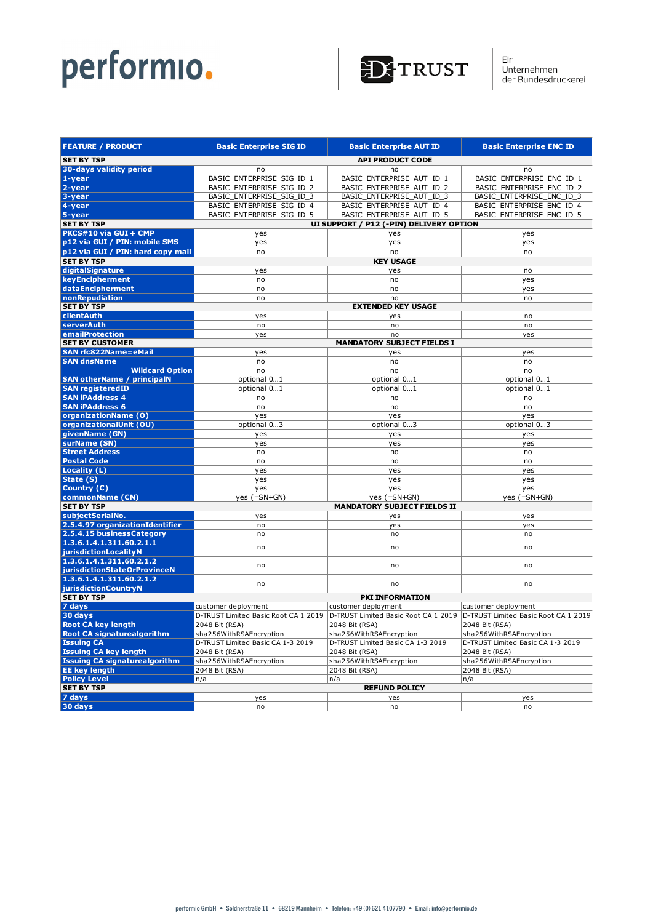

Ein<br>Unternehmen<br>der Bundesdruckerei

| <b>FEATURE / PRODUCT</b>                          | <b>Basic Enterprise SIG ID</b>       | <b>Basic Enterprise AUT ID</b>          | <b>Basic Enterprise ENC ID</b>       |
|---------------------------------------------------|--------------------------------------|-----------------------------------------|--------------------------------------|
| <b>SET BY TSP</b>                                 |                                      | <b>API PRODUCT CODE</b>                 |                                      |
| 30-days validity period                           | no                                   | no                                      | no                                   |
| $1 - year$                                        | BASIC_ENTERPRISE_SIG_ID_1            | BASIC_ENTERPRISE_AUT_ID_1               | BASIC_ENTERPRISE_ENC_ID_1            |
| 2-year                                            | BASIC_ENTERPRISE_SIG_ID_2            | BASIC_ENTERPRISE_AUT_ID_2               | BASIC_ENTERPRISE_ENC_ID_2            |
| 3-year                                            | BASIC_ENTERPRISE_SIG_ID_3            | BASIC_ENTERPRISE_AUT_ID_3               | BASIC_ENTERPRISE_ENC_ID_3            |
| 4-year                                            | BASIC ENTERPRISE SIG ID 4            | BASIC ENTERPRISE AUT ID 4               | BASIC ENTERPRISE ENC ID 4            |
| 5-year                                            | BASIC_ENTERPRISE_SIG_ID_5            | BASIC_ENTERPRISE_AUT_ID_5               | BASIC_ENTERPRISE_ENC_ID_5            |
| <b>SET BY TSP</b>                                 |                                      | UI SUPPORT / P12 (-PIN) DELIVERY OPTION |                                      |
| PKCS#10 via GUI + CMP                             | yes                                  | yes                                     | yes                                  |
| p12 via GUI / PIN: mobile SMS                     | yes                                  | yes                                     | yes                                  |
| p12 via GUI / PIN: hard copy mail                 | no                                   | no                                      | no                                   |
| <b>SET BY TSP</b>                                 |                                      | <b>KEY USAGE</b>                        |                                      |
| digitalSignature                                  | yes                                  | yes                                     | no                                   |
| keyEncipherment                                   | no                                   | no                                      | yes                                  |
| dataEncipherment                                  | no                                   | no                                      | yes                                  |
| nonRepudiation                                    | no                                   | no                                      | no                                   |
| <b>SET BY TSP</b>                                 |                                      | <b>EXTENDED KEY USAGE</b>               |                                      |
| clientAuth                                        | yes                                  | yes                                     | no                                   |
| serverAuth                                        | no                                   | no                                      | no                                   |
| emailProtection                                   | yes                                  | no                                      | yes                                  |
| <b>SET BY CUSTOMER</b>                            |                                      | <b>MANDATORY SUBJECT FIELDS I</b>       |                                      |
| <b>SAN rfc822Name=eMail</b>                       | yes                                  | yes                                     | yes                                  |
| <b>SAN dnsName</b>                                | no                                   | no                                      | no                                   |
| <b>Wildcard Option</b>                            | no                                   | no                                      | no                                   |
| <b>SAN otherName / principalN</b>                 | optional 01                          | optional 01                             | optional 01                          |
| <b>SAN registeredID</b><br><b>SAN iPAddress 4</b> | optional 01                          | optional 01                             | optional 01                          |
| <b>SAN iPAddress 6</b>                            | no                                   | no                                      | no                                   |
| organizationName (O)                              | no<br>yes                            | no<br>yes                               | no                                   |
| organizationalUnit (OU)                           | optional 03                          | optional 03                             | yes<br>optional 03                   |
| givenName (GN)                                    | yes                                  | yes                                     | yes                                  |
| surName (SN)                                      | yes                                  | yes                                     | yes                                  |
| <b>Street Address</b>                             | no                                   | no                                      | no                                   |
| <b>Postal Code</b>                                | no                                   | no                                      | no                                   |
| Locality (L)                                      | yes                                  | yes                                     | yes                                  |
| State $(5)$                                       | yes                                  | yes                                     | yes                                  |
| Country (C)                                       | yes                                  | yes                                     | yes                                  |
| commonName (CN)                                   | yes $(=\text{SN}+\text{GN})$         | yes $(=\text{SN}+\text{GN})$            | yes $(=\text{SN}+\text{GN})$         |
| <b>SET BY TSP</b>                                 |                                      | <b>MANDATORY SUBJECT FIELDS II</b>      |                                      |
| subjectSerialNo.                                  | yes                                  | yes                                     | yes                                  |
| 2.5.4.97 organizationIdentifier                   | no                                   | yes                                     | yes                                  |
| 2.5.4.15 businessCategory                         | no                                   | no                                      | no                                   |
| 1.3.6.1.4.1.311.60.2.1.1                          | no                                   | no                                      | no                                   |
| jurisdictionLocalityN                             |                                      |                                         |                                      |
| 1.3.6.1.4.1.311.60.2.1.2                          | no                                   | no                                      | no                                   |
| jurisdictionStateOrProvinceN                      |                                      |                                         |                                      |
| 1.3.6.1.4.1.311.60.2.1.2                          | no                                   | no                                      | no                                   |
| <b>jurisdictionCountryN</b><br><b>SET BY TSP</b>  |                                      | PKI INFORMATION                         |                                      |
| 7 days                                            | customer deployment                  | customer deployment                     | customer deployment                  |
| 30 days                                           | D-TRUST Limited Basic Root CA 1 2019 | D-TRUST Limited Basic Root CA 1 2019    | D-TRUST Limited Basic Root CA 1 2019 |
| <b>Root CA key length</b>                         | 2048 Bit (RSA)                       | 2048 Bit (RSA)                          | 2048 Bit (RSA)                       |
| <b>Root CA signaturealgorithm</b>                 | sha256WithRSAEncryption              | sha256WithRSAEncryption                 | sha256WithRSAEncryption              |
| <b>Issuing CA</b>                                 | D-TRUST Limited Basic CA 1-3 2019    | D-TRUST Limited Basic CA 1-3 2019       | D-TRUST Limited Basic CA 1-3 2019    |
| <b>Issuing CA key length</b>                      | 2048 Bit (RSA)                       | 2048 Bit (RSA)                          | 2048 Bit (RSA)                       |
| <b>Issuing CA signaturealgorithm</b>              | sha256WithRSAEncryption              | sha256WithRSAEncryption                 | sha256WithRSAEncryption              |
| <b>EE key length</b>                              | 2048 Bit (RSA)                       | 2048 Bit (RSA)                          | 2048 Bit (RSA)                       |
| <b>Policy Level</b>                               | n/a                                  | n/a                                     | n/a                                  |
| <b>SET BY TSP</b>                                 |                                      | <b>REFUND POLICY</b>                    |                                      |
| 7 days                                            | yes                                  | yes                                     | yes                                  |
| 30 days                                           | no                                   | no                                      | no                                   |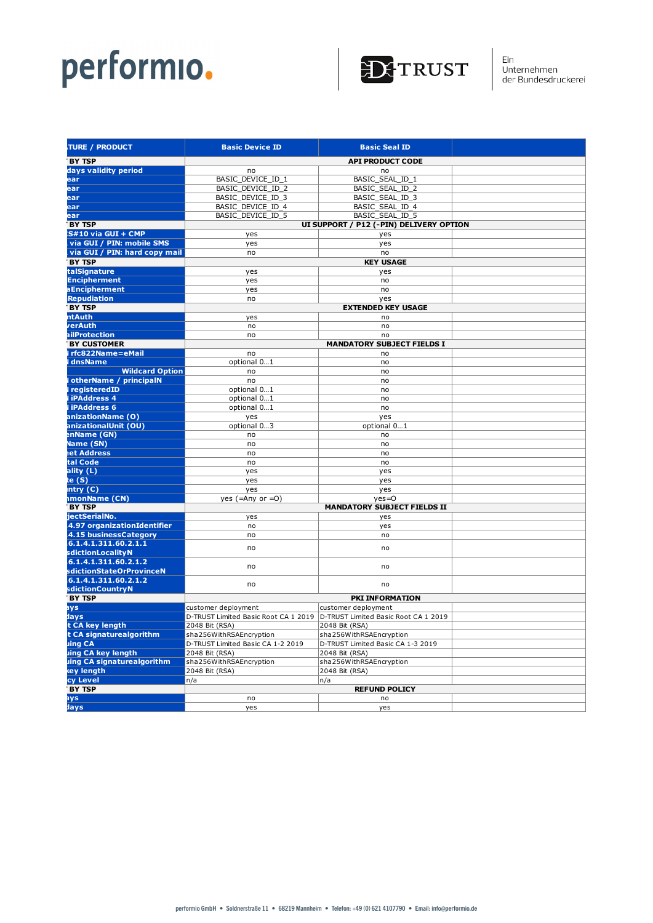

| <b>TURE / PRODUCT</b>                           | <b>Basic Device ID</b>               | <b>Basic Seal ID</b>                    |  |
|-------------------------------------------------|--------------------------------------|-----------------------------------------|--|
| <b>BY TSP</b>                                   |                                      | <b>API PRODUCT CODE</b>                 |  |
| days validity period                            | no                                   | no                                      |  |
| ear                                             | BASIC_DEVICE_ID_1                    | BASIC_SEAL_ID_1                         |  |
| ear                                             | BASIC_DEVICE_ID_2                    | BASIC_SEAL_ID_2                         |  |
| ear                                             | BASIC_DEVICE_ID_3                    | BASIC_SEAL_ID_3                         |  |
| ear                                             | BASIC_DEVICE_ID_4                    | BASIC_SEAL_ID_4                         |  |
| ear                                             | BASIC_DEVICE_ID_5                    | BASIC_SEAL_ID_5                         |  |
| <b>BY TSP</b>                                   |                                      | UI SUPPORT / P12 (-PIN) DELIVERY OPTION |  |
| S#10 via GUI + CMP                              | yes                                  | yes                                     |  |
| via GUI / PIN: mobile SMS                       | yes                                  | yes                                     |  |
| via GUI / PIN: hard copy mail                   | no                                   | no                                      |  |
| <b>BY TSP</b>                                   |                                      | <b>KEY USAGE</b>                        |  |
| talSignature                                    | yes                                  | yes                                     |  |
| <b>Encipherment</b>                             | yes                                  | no                                      |  |
| <b>aEncipherment</b>                            | yes                                  | no                                      |  |
| <b>Repudiation</b>                              | no                                   | yes                                     |  |
| <b>BY TSP</b>                                   |                                      | <b>EXTENDED KEY USAGE</b>               |  |
| <b>ntAuth</b>                                   | yes                                  | no                                      |  |
| verAuth                                         | no                                   | no                                      |  |
| ailProtection                                   | no                                   | no                                      |  |
| <b>BY CUSTOMER</b>                              | <b>MANDATORY SUBJECT FIELDS I</b>    |                                         |  |
| I rfc822Name=eMail                              | no                                   | no                                      |  |
| dnsName                                         | optional 01                          | no                                      |  |
| <b>Wildcard Option</b>                          | no                                   | no                                      |  |
| otherName / principalN<br><b>I</b> registeredID | no                                   | no                                      |  |
| <b>liPAddress 4</b>                             | optional 01<br>optional 01           | no                                      |  |
| <b>liPAddress 6</b>                             | optional 01                          | no<br>no                                |  |
| anizationName (O)                               | yes                                  | yes                                     |  |
| anizationalUnit (OU)                            | optional 03                          | optional 01                             |  |
| enName (GN)                                     | no                                   | no                                      |  |
| Name (SN)                                       | no                                   | no                                      |  |
| <b>et Address</b>                               | no                                   | no                                      |  |
| tal Code                                        | no                                   | no                                      |  |
| ality (L)                                       | yes                                  | yes                                     |  |
| te $(S)$                                        | yes                                  | yes                                     |  |
| intry (C)                                       | yes                                  | yes                                     |  |
| <b>ImonName (CN)</b>                            | yes $(=\text{Any or }=0)$            | $yes=0$                                 |  |
| <b>BY TSP</b>                                   |                                      | <b>MANDATORY SUBJECT FIELDS II</b>      |  |
| iectSerialNo.                                   | yes                                  | yes                                     |  |
| 4.97 organizationIdentifier                     | no                                   | yes                                     |  |
| 4.15 businessCategory                           | no                                   | no                                      |  |
| .6.1.4.1.311.60.2.1.1                           | no                                   | no                                      |  |
| sdiction Locality N<br>6.1.4.1.311.60.2.1.2     |                                      |                                         |  |
| sdictionStateOrProvinceN                        | no                                   | no                                      |  |
| 6.1.4.1.311.60.2.1.2                            |                                      |                                         |  |
| sdictionCountryN                                | no                                   | no                                      |  |
| <b>BY TSP</b>                                   |                                      | <b>PKI INFORMATION</b>                  |  |
| ays                                             | customer deployment                  | customer deployment                     |  |
| days                                            | D-TRUST Limited Basic Root CA 1 2019 | D-TRUST Limited Basic Root CA 1 2019    |  |
| t CA key length                                 | 2048 Bit (RSA)                       | 2048 Bit (RSA)                          |  |
| t CA signaturealgorithm                         | sha256WithRSAEncryption              | sha256WithRSAEncryption                 |  |
| uing CA                                         | D-TRUST Limited Basic CA 1-2 2019    | D-TRUST Limited Basic CA 1-3 2019       |  |
| uing CA key length                              | 2048 Bit (RSA)                       | 2048 Bit (RSA)                          |  |
| uing CA signaturealgorithm                      | sha256WithRSAEncryption              | sha256WithRSAEncryption                 |  |
| key length                                      | 2048 Bit (RSA)                       | 2048 Bit (RSA)                          |  |
| cy Level                                        | n/a <br>n/a                          |                                         |  |
| <b>BY TSP</b>                                   |                                      | <b>REFUND POLICY</b>                    |  |
| ays                                             | no                                   | no                                      |  |
| days                                            | yes                                  | yes                                     |  |